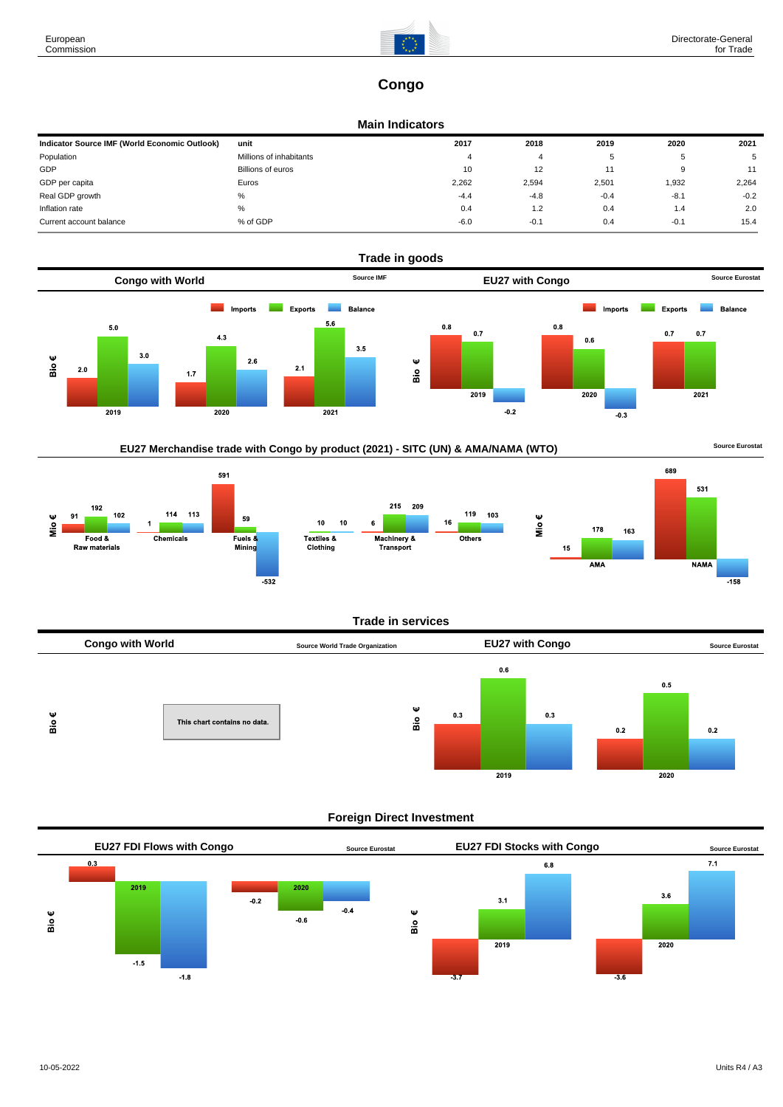

# **Congo**

#### **Main Indicators**

| Indicator Source IMF (World Economic Outlook) | unit                    | 2017   | 2018   | 2019   | 2020   | 2021   |
|-----------------------------------------------|-------------------------|--------|--------|--------|--------|--------|
| Population                                    | Millions of inhabitants |        |        |        | .b     | 5      |
| GDP                                           | Billions of euros       | 10     | 12     |        | 9      | 11     |
| GDP per capita                                | Euros                   | 2,262  | 2,594  | 2,501  | 1,932  | 2,264  |
| Real GDP growth                               | %                       | $-4.4$ | $-4.8$ | $-0.4$ | $-8.1$ | $-0.2$ |
| Inflation rate                                | %                       | 0.4    | 1.2    | 0.4    | 1.4    | 2.0    |
| Current account balance                       | % of GDP                | $-6.0$ | $-0.1$ | 0.4    | $-0.1$ | 15.4   |



# EU27 Merchandise trade with Congo by product (2021) - SITC (UN) & AMA/NAMA (WTO) **Source Eurostat**



#### **Trade in services**



### **Foreign Direct Investment**